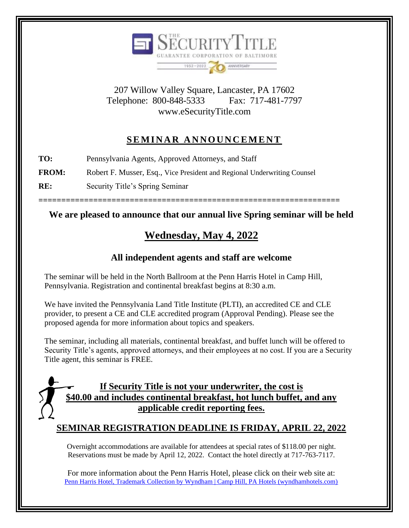

207 Willow Valley Square, Lancaster, PA 17602 Telephone: 800-848-5333 Fax: 717-481-7797 www.eSecurityTitle.com

## SEMINAR ANNOUNCEMENT

**TO:** Pennsylvania Agents, Approved Attorneys, and Staff

**FROM:** Robert F. Musser, Esq., Vice President and Regional Underwriting Counsel

**RE:** Security Title's Spring Seminar

**==================================================================**

#### **We are pleased to announce that our annual live Spring seminar will be held**

## **Wednesday, May 4, 2022**

### **All independent agents and staff are welcome**

The seminar will be held in the North Ballroom at the Penn Harris Hotel in Camp Hill, Pennsylvania. Registration and continental breakfast begins at 8:30 a.m.

We have invited the Pennsylvania Land Title Institute (PLTI), an accredited CE and CLE provider, to present a CE and CLE accredited program (Approval Pending). Please see the proposed agenda for more information about topics and speakers.

The seminar, including all materials, continental breakfast, and buffet lunch will be offered to Security Title's agents, approved attorneys, and their employees at no cost. If you are a Security Title agent, this seminar is FREE.

## **If Security Title is not your underwriter, the cost is \$40.00 and includes continental breakfast, hot lunch buffet, and any applicable credit reporting fees.**

#### **SEMINAR REGISTRATION DEADLINE IS FRIDAY, APRIL 22, 2022**

Overnight accommodations are available for attendees at special rates of \$118.00 per night. Reservations must be made by April 12, 2022. Contact the hotel directly at 717-763-7117.

For more information about the Penn Harris Hotel, please click on their web site at: [Penn Harris Hotel, Trademark Collection by Wyndham | Camp Hill, PA Hotels \(wyndhamhotels.com\)](https://www.wyndhamhotels.com/trademark/camp-hill-pennsylvania/penn-harris-hotel-trademark-collection/overview)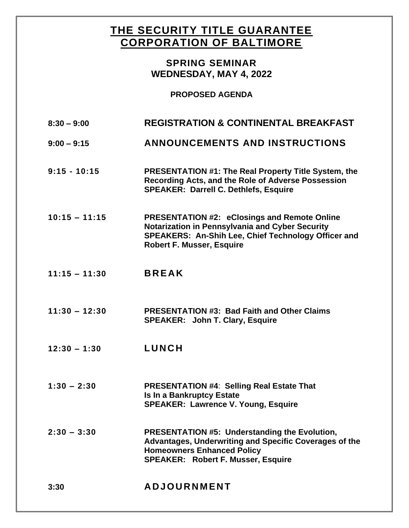## **THE SECURITY TITLE GUARANTEE CORPORATION OF BALTIMORE**

#### **SPRING SEMINAR WEDNESDAY, MAY 4, 2022**

#### **PROPOSED AGENDA**

| $8:30 - 9:00$   | <b>REGISTRATION &amp; CONTINENTAL BREAKFAST</b>                                                                                                                                                   |
|-----------------|---------------------------------------------------------------------------------------------------------------------------------------------------------------------------------------------------|
| $9:00 - 9:15$   | <b>ANNOUNCEMENTS AND INSTRUCTIONS</b>                                                                                                                                                             |
| $9:15 - 10:15$  | <b>PRESENTATION #1: The Real Property Title System, the</b><br>Recording Acts, and the Role of Adverse Possession<br><b>SPEAKER: Darrell C. Dethlefs, Esquire</b>                                 |
| $10:15 - 11:15$ | <b>PRESENTATION #2: eClosings and Remote Online</b><br>Notarization in Pennsylvania and Cyber Security<br>SPEAKERS: An-Shih Lee, Chief Technology Officer and<br><b>Robert F. Musser, Esquire</b> |
| $11:15 - 11:30$ | <b>BREAK</b>                                                                                                                                                                                      |
| $11:30 - 12:30$ | <b>PRESENTATION #3: Bad Faith and Other Claims</b><br><b>SPEAKER: John T. Clary, Esquire</b>                                                                                                      |
| $12:30 - 1:30$  | <b>LUNCH</b>                                                                                                                                                                                      |
| $1:30 - 2:30$   | <b>PRESENTATION #4: Selling Real Estate That</b><br><b>Is In a Bankruptcy Estate</b><br><b>SPEAKER: Lawrence V. Young, Esquire</b>                                                                |
| $2:30 - 3:30$   | <b>PRESENTATION #5: Understanding the Evolution,</b><br>Advantages, Underwriting and Specific Coverages of the<br><b>Homeowners Enhanced Policy</b><br><b>SPEAKER: Robert F. Musser, Esquire</b>  |
| 3:30            | <b>ADJOURNMENT</b>                                                                                                                                                                                |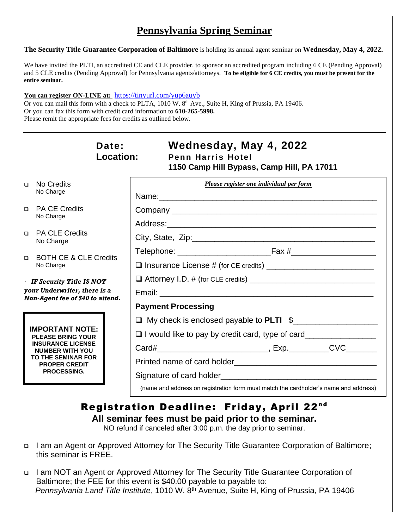## **Pennsylvania Spring Seminar**

**The Security Title Guarantee Corporation of Baltimore** is holding its annual agent seminar on **Wednesday, May 4, 2022.** 

We have invited the PLTI, an accredited CE and CLE provider, to sponsor an accredited program including 6 CE (Pending Approval) and 5 CLE credits (Pending Approval) for Pennsylvania agents/attorneys. **To be eligible for 6 CE credits, you must be present for the entire seminar.** 

#### **You can register ON-LINE at:** <https://tinyurl.com/yup6auyb>

Or you can mail this form with a check to PLTA, 1010 W. 8<sup>th</sup> Ave., Suite H, King of Prussia, PA 19406. Or you can fax this form with credit card information to **610-265-5998.**  Please remit the appropriate fees for credits as outlined below.

|                                                                                                      | Date:<br><b>Location:</b>                                                                                                                                                           | Wednesday, May 4, 2022<br><b>Penn Harris Hotel</b><br>1150 Camp Hill Bypass, Camp Hill, PA 17011 |  |
|------------------------------------------------------------------------------------------------------|-------------------------------------------------------------------------------------------------------------------------------------------------------------------------------------|--------------------------------------------------------------------------------------------------|--|
| $\Box$                                                                                               | No Credits<br>No Charge                                                                                                                                                             | Please register one individual per form                                                          |  |
|                                                                                                      |                                                                                                                                                                                     |                                                                                                  |  |
| $\Box$                                                                                               | <b>PA CE Credits</b><br>No Charge                                                                                                                                                   |                                                                                                  |  |
|                                                                                                      |                                                                                                                                                                                     |                                                                                                  |  |
| $\Box$                                                                                               | <b>PA CLE Credits</b><br>No Charge                                                                                                                                                  |                                                                                                  |  |
| $\Box$                                                                                               | <b>BOTH CE &amp; CLE Credits</b><br>No Charge                                                                                                                                       |                                                                                                  |  |
|                                                                                                      |                                                                                                                                                                                     |                                                                                                  |  |
| $\cdot$ IF Security Title IS NOT<br>your Underwriter, there is a<br>Non-Agent fee of \$40 to attend. |                                                                                                                                                                                     |                                                                                                  |  |
|                                                                                                      |                                                                                                                                                                                     |                                                                                                  |  |
|                                                                                                      |                                                                                                                                                                                     | <b>Payment Processing</b>                                                                        |  |
|                                                                                                      | <b>IMPORTANT NOTE:</b><br><b>PLEASE BRING YOUR</b><br><b>INSURANCE LICENSE</b><br><b>NUMBER WITH YOU</b><br><b>TO THE SEMINAR FOR</b><br><b>PROPER CREDIT</b><br><b>PROCESSING.</b> | □ My check is enclosed payable to PLTI \$                                                        |  |
|                                                                                                      |                                                                                                                                                                                     | □ I would like to pay by credit card, type of card______________________________                 |  |
|                                                                                                      |                                                                                                                                                                                     |                                                                                                  |  |
|                                                                                                      |                                                                                                                                                                                     |                                                                                                  |  |
|                                                                                                      |                                                                                                                                                                                     | Signature of card holder example and the state of card holder                                    |  |
|                                                                                                      |                                                                                                                                                                                     | (name and address on registration form must match the cardholder's name and address)             |  |
| Registration Deadline: Friday, April 22nd                                                            |                                                                                                                                                                                     |                                                                                                  |  |

# **All seminar fees must be paid prior to the seminar.**

NO refund if canceled after 3:00 p.m. the day prior to seminar.

- ❑ I am an Agent or Approved Attorney for The Security Title Guarantee Corporation of Baltimore; this seminar is FREE.
- ❑ I am NOT an Agent or Approved Attorney for The Security Title Guarantee Corporation of Baltimore; the FEE for this event is \$40.00 payable to payable to:  *Pennsylvania Land Title Institute*, 1010 W. 8th Avenue, Suite H, King of Prussia, PA 19406